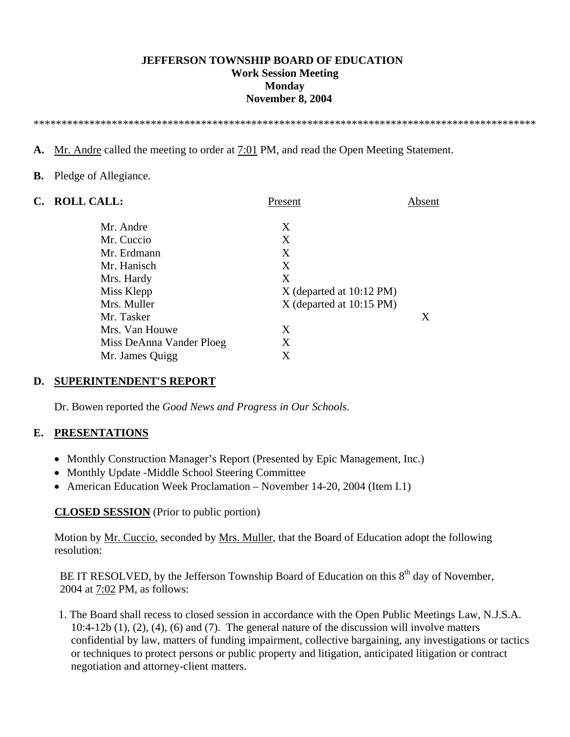### **JEFFERSON TOWNSHIP BOARD OF EDUCATION Work Session Meeting Monday November 8, 2004**

\*\*\*\*\*\*\*\*\*\*\*\*\*\*\*\*\*\*\*\*\*\*\*\*\*\*\*\*\*\*\*\*\*\*\*\*\*\*\*\*\*\*\*\*\*\*\*\*\*\*\*\*\*\*\*\*\*\*\*\*\*\*\*\*\*\*\*\*\*\*\*\*\*\*\*\*\*\*\*\*\*\*\*\*\*\*\*\*\*\*

**A.** Mr. Andre called the meeting to order at 7:01 PM, and read the Open Meeting Statement.

#### **B.** Pledge of Allegiance.

| C. | <b>ROLL CALL:</b>        | Present                    | Absent |
|----|--------------------------|----------------------------|--------|
|    | Mr. Andre                | X                          |        |
|    | Mr. Cuccio               | X                          |        |
|    | Mr. Erdmann              | X                          |        |
|    | Mr. Hanisch              | X                          |        |
|    | Mrs. Hardy               | X                          |        |
|    | Miss Klepp               | $X$ (departed at 10:12 PM) |        |
|    | Mrs. Muller              | X (departed at 10:15 PM)   |        |
|    | Mr. Tasker               |                            | X      |
|    | Mrs. Van Houwe           | X                          |        |
|    | Miss DeAnna Vander Ploeg | X                          |        |
|    | Mr. James Quigg          | X                          |        |

### **D. SUPERINTENDENT'S REPORT**

Dr. Bowen reported the *Good News and Progress in Our Schools*.

### **E. PRESENTATIONS**

- Monthly Construction Manager's Report (Presented by Epic Management, Inc.)
- Monthly Update -Middle School Steering Committee
- American Education Week Proclamation November 14-20, 2004 (Item I.1)

### **CLOSED SESSION** (Prior to public portion)

 Motion by Mr. Cuccio, seconded by Mrs. Muller, that the Board of Education adopt the following resolution:

BE IT RESOLVED, by the Jefferson Township Board of Education on this  $8<sup>th</sup>$  day of November, 2004 at 7:02 PM, as follows:

 1. The Board shall recess to closed session in accordance with the Open Public Meetings Law, N.J.S.A. 10:4-12b (1), (2), (4), (6) and (7). The general nature of the discussion will involve matters confidential by law, matters of funding impairment, collective bargaining, any investigations or tactics or techniques to protect persons or public property and litigation, anticipated litigation or contract negotiation and attorney-client matters.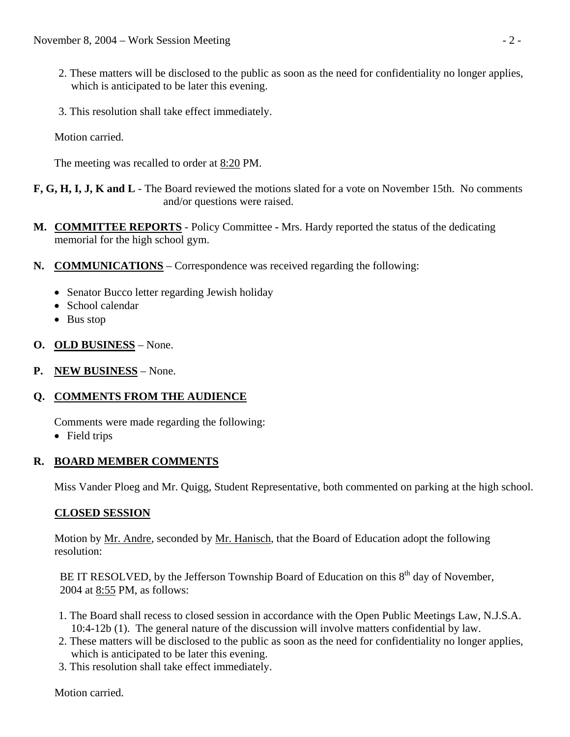- 2. These matters will be disclosed to the public as soon as the need for confidentiality no longer applies, which is anticipated to be later this evening.
- 3. This resolution shall take effect immediately.

Motion carried.

The meeting was recalled to order at 8:20 PM.

**F, G, H, I, J, K and L** - The Board reviewed the motions slated for a vote on November 15th. No comments and/or questions were raised.

- **M. COMMITTEE REPORTS** Policy CommitteeMrs. Hardy reported the status of the dedicating memorial for the high school gym.
- **N. COMMUNICATIONS** Correspondence was received regarding the following:
	- Senator Bucco letter regarding Jewish holiday
	- School calendar
	- Bus stop
- **O. OLD BUSINESS** None.
- **P. NEW BUSINESS** None.

## **Q. COMMENTS FROM THE AUDIENCE**

Comments were made regarding the following:

• Field trips

### **R. BOARD MEMBER COMMENTS**

Miss Vander Ploeg and Mr. Quigg, Student Representative, both commented on parking at the high school.

## **CLOSED SESSION**

Motion by <u>Mr. Andre</u>, seconded by <u>Mr. Hanisch</u>, that the Board of Education adopt the following resolution:

BE IT RESOLVED, by the Jefferson Township Board of Education on this  $8<sup>th</sup>$  day of November, 2004 at 8:55 PM, as follows:

- 1. The Board shall recess to closed session in accordance with the Open Public Meetings Law, N.J.S.A. 10:4-12b (1). The general nature of the discussion will involve matters confidential by law.
- 2. These matters will be disclosed to the public as soon as the need for confidentiality no longer applies, which is anticipated to be later this evening.
- 3. This resolution shall take effect immediately.

Motion carried.